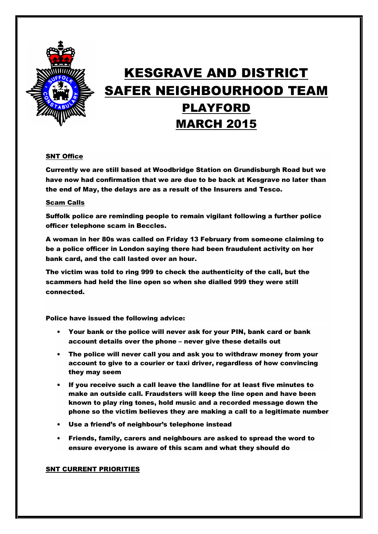

# KESGRAVE AND DISTRICT SAFER NEIGHBOURHOOD TEAM PLAYFORD MARCH 2015

## SNT Office

Currently we are still based at Woodbridge Station on Grundisburgh Road but we have now had confirmation that we are due to be back at Kesgrave no later than the end of May, the delays are as a result of the Insurers and Tesco.

### Scam Calls

Suffolk police are reminding people to remain vigilant following a further police officer telephone scam in Beccles.

A woman in her 80s was called on Friday 13 February from someone claiming to be a police officer in London saying there had been fraudulent activity on her bank card, and the call lasted over an hour.

The victim was told to ring 999 to check the authenticity of the call, but the scammers had held the line open so when she dialled 999 they were still connected.

Police have issued the following advice:

- Your bank or the police will never ask for your PIN, bank card or bank account details over the phone – never give these details out
- The police will never call you and ask you to withdraw money from your account to give to a courier or taxi driver, regardless of how convincing they may seem
- If you receive such a call leave the landline for at least five minutes to make an outside call. Fraudsters will keep the line open and have been known to play ring tones, hold music and a recorded message down the phone so the victim believes they are making a call to a legitimate number
- Use a friend's of neighbour's telephone instead
- Friends, family, carers and neighbours are asked to spread the word to ensure everyone is aware of this scam and what they should do

### SNT CURRENT PRIORITIES